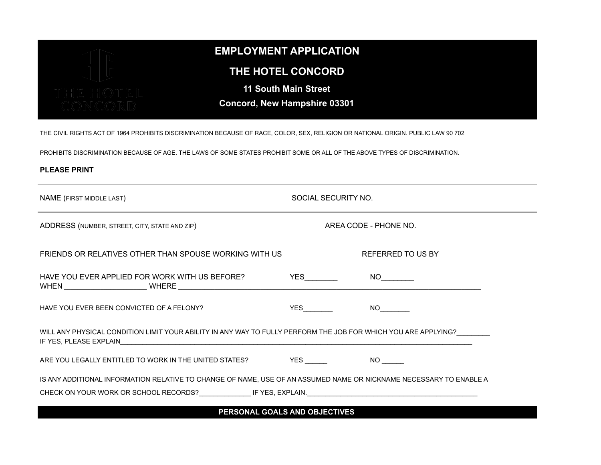

## **EMPLOYMENT APPLICATION**

## **THE HOTEL CONCORD**

**11 South Main Street**

**Concord, New Hampshire 03301**

THE CIVIL RIGHTS ACT OF 1964 PROHIBITS DISCRIMINATION BECAUSE OF RACE, COLOR, SEX, RELIGION OR NATIONAL ORIGIN. PUBLIC LAW 90 702

PROHIBITS DISCRIMINATION BECAUSE OF AGE. THE LAWS OF SOME STATES PROHIBIT SOME OR ALL OF THE ABOVE TYPES OF DISCRIMINATION.

## **PLEASE PRINT**

| SOCIAL SECURITY NO.                                                                                                   |  |  |  |  |  |
|-----------------------------------------------------------------------------------------------------------------------|--|--|--|--|--|
| AREA CODE - PHONE NO.                                                                                                 |  |  |  |  |  |
| REFERRED TO US BY                                                                                                     |  |  |  |  |  |
| $NO \t —$                                                                                                             |  |  |  |  |  |
| $YES$ and $T = 1$<br>NO <sub>2</sub>                                                                                  |  |  |  |  |  |
| WILL ANY PHYSICAL CONDITION LIMIT YOUR ABILITY IN ANY WAY TO FULLY PERFORM THE JOB FOR WHICH YOU ARE APPLYING?        |  |  |  |  |  |
| ARE YOU LEGALLY ENTITLED TO WORK IN THE UNITED STATES? YES WES ARE YOU LEGALLY ENTITLED TO WORK IN THE UNITED STATES? |  |  |  |  |  |
| IS ANY ADDITIONAL INFORMATION RELATIVE TO CHANGE OF NAME, USE OF AN ASSUMED NAME OR NICKNAME NECESSARY TO ENABLE A    |  |  |  |  |  |
|                                                                                                                       |  |  |  |  |  |

**PERSONAL GOALS AND OBJECTIVES**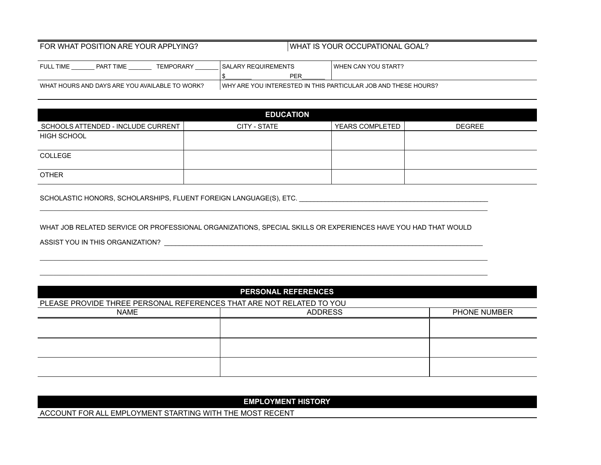## FOR WHAT POSITION ARE YOUR APPLYING? WHAT IS YOUR OCCUPATIONAL GOAL?

| TEMPORARY<br><b>TIME</b><br><b>FULL TIME</b><br>PART | I SALARY REQUIREMENTS                                          | I WHEN CAN YOU START? |
|------------------------------------------------------|----------------------------------------------------------------|-----------------------|
|                                                      | PEF                                                            |                       |
| WHAT HOURS AND DAYS ARE YOU AVAILABLE TO WORK?       | WHY ARE YOU INTERESTED IN THIS PARTICULAR JOB AND THESE HOURS? |                       |

| <b>EDUCATION</b>                   |              |                 |               |  |  |  |  |
|------------------------------------|--------------|-----------------|---------------|--|--|--|--|
| SCHOOLS ATTENDED - INCLUDE CURRENT | CITY - STATE | YEARS COMPLETED | <b>DEGREE</b> |  |  |  |  |
| <b>HIGH SCHOOL</b>                 |              |                 |               |  |  |  |  |
| COLLEGE                            |              |                 |               |  |  |  |  |
| <b>OTHER</b>                       |              |                 |               |  |  |  |  |

SCHOLASTIC HONORS, SCHOLARSHIPS, FLUENT FOREIGN LANGUAGE(S), ETC. \_\_\_\_\_\_\_\_\_\_\_\_\_\_\_\_\_\_\_\_\_\_\_\_\_\_\_\_\_\_\_\_\_\_\_\_\_\_\_\_\_\_\_\_\_\_\_\_\_\_\_

WHAT JOB RELATED SERVICE OR PROFESSIONAL ORGANIZATIONS, SPECIAL SKILLS OR EXPERIENCES HAVE YOU HAD THAT WOULD

\_\_\_\_\_\_\_\_\_\_\_\_\_\_\_\_\_\_\_\_\_\_\_\_\_\_\_\_\_\_\_\_\_\_\_\_\_\_\_\_\_\_\_\_\_\_\_\_\_\_\_\_\_\_\_\_\_\_\_\_\_\_\_\_\_\_\_\_\_\_\_\_\_\_\_\_\_\_\_\_\_\_\_\_\_\_\_\_\_\_\_\_\_\_\_\_\_\_\_\_\_\_\_\_\_\_\_\_\_\_\_\_\_\_\_\_\_\_\_\_\_\_\_\_\_\_\_\_\_\_\_\_\_\_\_\_

\_\_\_\_\_\_\_\_\_\_\_\_\_\_\_\_\_\_\_\_\_\_\_\_\_\_\_\_\_\_\_\_\_\_\_\_\_\_\_\_\_\_\_\_\_\_\_\_\_\_\_\_\_\_\_\_\_\_\_\_\_\_\_\_\_\_\_\_\_\_\_\_\_\_\_\_\_\_\_\_\_\_\_\_\_\_\_\_\_\_\_\_\_\_\_\_\_\_\_\_\_\_\_\_\_\_\_\_\_\_\_\_\_\_\_\_\_\_\_\_\_\_\_\_\_\_\_\_\_\_\_\_\_\_\_\_ \_\_\_\_\_\_\_\_\_\_\_\_\_\_\_\_\_\_\_\_\_\_\_\_\_\_\_\_\_\_\_\_\_\_\_\_\_\_\_\_\_\_\_\_\_\_\_\_\_\_\_\_\_\_\_\_\_\_\_\_\_\_\_\_\_\_\_\_\_\_\_\_\_\_\_\_\_\_\_\_\_\_\_\_\_\_\_\_\_\_\_\_\_\_\_\_\_\_\_\_\_\_\_\_\_\_\_\_\_\_\_\_\_\_\_\_\_\_\_\_\_\_\_\_\_\_\_\_\_\_\_\_\_\_\_\_

ASSIST YOU IN THIS ORGANIZATION? \_\_\_\_\_\_\_\_\_\_\_\_\_\_\_\_\_\_\_\_\_\_\_\_\_\_\_\_\_\_\_\_\_\_\_\_\_\_\_\_\_\_\_\_\_\_\_\_\_\_\_\_\_\_\_\_\_\_\_\_\_\_\_\_\_\_\_\_\_\_\_\_\_\_\_\_\_\_\_\_\_\_\_\_\_\_

| <b>PERSONAL REFERENCES</b>                                           |                |              |  |  |  |  |
|----------------------------------------------------------------------|----------------|--------------|--|--|--|--|
| PLEASE PROVIDE THREE PERSONAL REFERENCES THAT ARE NOT RELATED TO YOU |                |              |  |  |  |  |
| <b>NAME</b>                                                          | <b>ADDRESS</b> | PHONE NUMBER |  |  |  |  |
|                                                                      |                |              |  |  |  |  |
|                                                                      |                |              |  |  |  |  |
|                                                                      |                |              |  |  |  |  |
|                                                                      |                |              |  |  |  |  |
|                                                                      |                |              |  |  |  |  |
|                                                                      |                |              |  |  |  |  |

**EMPLOYMENT HISTORY**

ACCOUNT FOR ALL EMPLOYMENT STARTING WITH THE MOST RECENT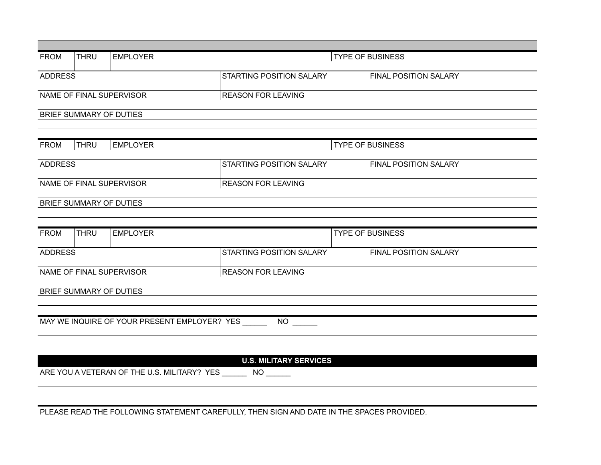| <b>FROM</b>                                                   | <b>THRU</b>                                           | <b>EMPLOYER</b> | <b>TYPE OF BUSINESS</b>         |                              |                              |  |  |
|---------------------------------------------------------------|-------------------------------------------------------|-----------------|---------------------------------|------------------------------|------------------------------|--|--|
| <b>ADDRESS</b>                                                | STARTING POSITION SALARY                              |                 |                                 | <b>FINAL POSITION SALARY</b> |                              |  |  |
|                                                               | NAME OF FINAL SUPERVISOR<br><b>REASON FOR LEAVING</b> |                 |                                 |                              |                              |  |  |
| BRIEF SUMMARY OF DUTIES                                       |                                                       |                 |                                 |                              |                              |  |  |
|                                                               |                                                       |                 |                                 |                              |                              |  |  |
| <b>FROM</b>                                                   | THRU                                                  | <b>EMPLOYER</b> | <b>TYPE OF BUSINESS</b>         |                              |                              |  |  |
| <b>ADDRESS</b>                                                |                                                       |                 | STARTING POSITION SALARY        |                              | <b>FINAL POSITION SALARY</b> |  |  |
|                                                               | NAME OF FINAL SUPERVISOR<br><b>REASON FOR LEAVING</b> |                 |                                 |                              |                              |  |  |
|                                                               | BRIEF SUMMARY OF DUTIES                               |                 |                                 |                              |                              |  |  |
|                                                               |                                                       |                 |                                 |                              |                              |  |  |
| <b>FROM</b>                                                   | <b>THRU</b>                                           | <b>EMPLOYER</b> | <b>TYPE OF BUSINESS</b>         |                              |                              |  |  |
| <b>ADDRESS</b>                                                |                                                       |                 | <b>STARTING POSITION SALARY</b> |                              | <b>FINAL POSITION SALARY</b> |  |  |
|                                                               | NAME OF FINAL SUPERVISOR<br><b>REASON FOR LEAVING</b> |                 |                                 |                              |                              |  |  |
|                                                               | BRIEF SUMMARY OF DUTIES                               |                 |                                 |                              |                              |  |  |
|                                                               |                                                       |                 |                                 |                              |                              |  |  |
| MAY WE INQUIRE OF YOUR PRESENT EMPLOYER? YES ________ NO ____ |                                                       |                 |                                 |                              |                              |  |  |
|                                                               |                                                       |                 |                                 |                              |                              |  |  |
| <b>U.S. MILITARY SERVICES</b>                                 |                                                       |                 |                                 |                              |                              |  |  |
| ARE YOU A VETERAN OF THE U.S. MILITARY? YES _______ NO ______ |                                                       |                 |                                 |                              |                              |  |  |
|                                                               |                                                       |                 |                                 |                              |                              |  |  |

PLEASE READ THE FOLLOWING STATEMENT CAREFULLY, THEN SIGN AND DATE IN THE SPACES PROVIDED.